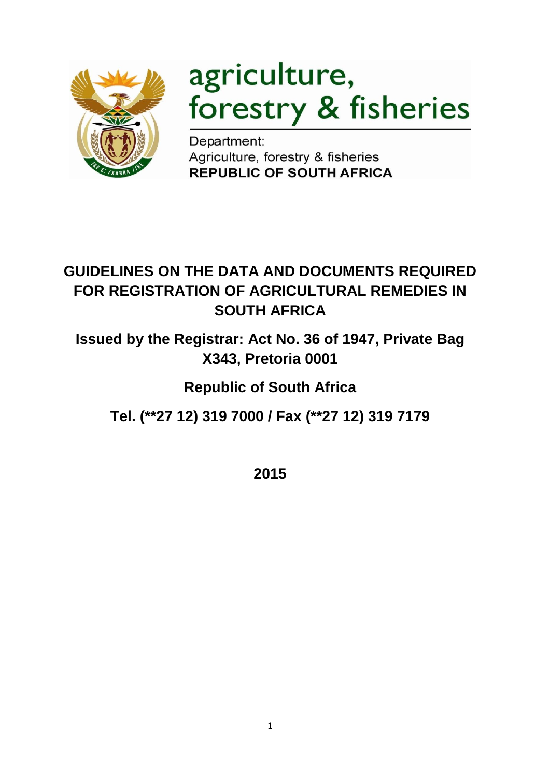

# agriculture, forestry & fisheries

Department: Agriculture, forestry & fisheries **REPUBLIC OF SOUTH AFRICA** 

# **GUIDELINES ON THE DATA AND DOCUMENTS REQUIRED FOR REGISTRATION OF AGRICULTURAL REMEDIES IN SOUTH AFRICA**

**Issued by the Registrar: Act No. 36 of 1947, Private Bag X343, Pretoria 0001**

# **Republic of South Africa**

**Tel. (\*\*27 12) 319 7000 / Fax (\*\*27 12) 319 7179**

**2015**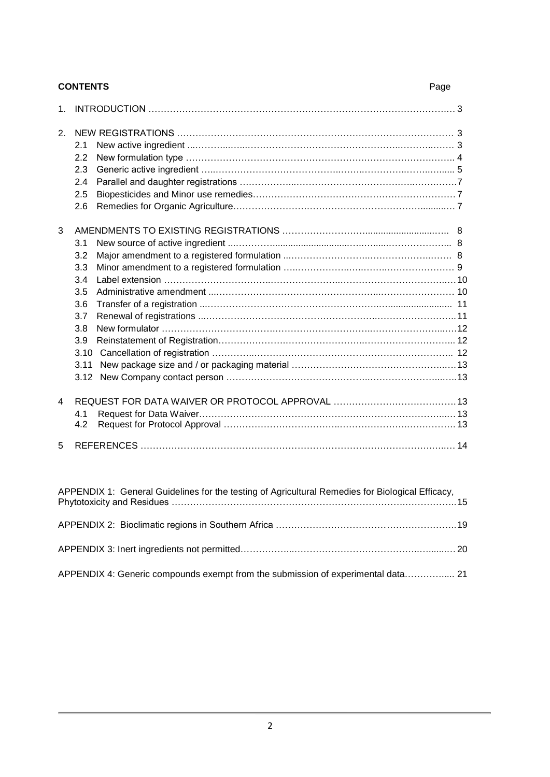| <b>CONTENTS</b><br>Page |                                                                                     |  |  |
|-------------------------|-------------------------------------------------------------------------------------|--|--|
| 1.                      |                                                                                     |  |  |
| 2.                      | 2.1<br>2.2<br>2.3<br>2.4<br>2.5<br>2.6                                              |  |  |
| 3                       | 3.1<br>3.2<br>3.3<br>3.4<br>3.5<br>3.6<br>3.7<br>3.8<br>3.9<br>3.10<br>3.11<br>3.12 |  |  |
| 4                       | 4.1<br>4.2                                                                          |  |  |
| 5                       |                                                                                     |  |  |

| APPENDIX 1: General Guidelines for the testing of Agricultural Remedies for Biological Efficacy, |  |
|--------------------------------------------------------------------------------------------------|--|
|                                                                                                  |  |
|                                                                                                  |  |
| APPENDIX 4: Generic compounds exempt from the submission of experimental data 21                 |  |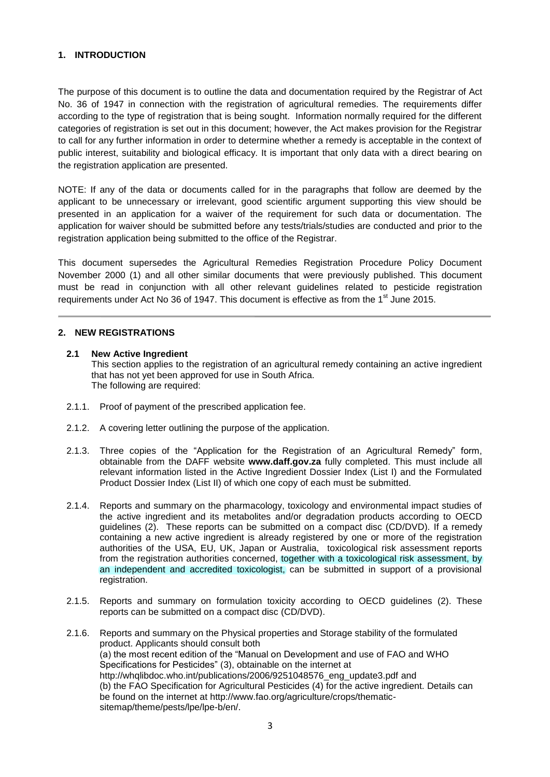# **1. INTRODUCTION**

The purpose of this document is to outline the data and documentation required by the Registrar of Act No. 36 of 1947 in connection with the registration of agricultural remedies. The requirements differ according to the type of registration that is being sought. Information normally required for the different categories of registration is set out in this document; however, the Act makes provision for the Registrar to call for any further information in order to determine whether a remedy is acceptable in the context of public interest, suitability and biological efficacy. It is important that only data with a direct bearing on the registration application are presented.

NOTE: If any of the data or documents called for in the paragraphs that follow are deemed by the applicant to be unnecessary or irrelevant, good scientific argument supporting this view should be presented in an application for a waiver of the requirement for such data or documentation. The application for waiver should be submitted before any tests/trials/studies are conducted and prior to the registration application being submitted to the office of the Registrar.

This document supersedes the Agricultural Remedies Registration Procedure Policy Document November 2000 (1) and all other similar documents that were previously published. This document must be read in conjunction with all other relevant guidelines related to pesticide registration requirements under Act No 36 of 1947. This document is effective as from the 1 $^{\text{st}}$  June 2015.

# **2. NEW REGISTRATIONS**

## **2.1 New Active Ingredient**

This section applies to the registration of an agricultural remedy containing an active ingredient that has not yet been approved for use in South Africa. The following are required:

- 2.1.1. Proof of payment of the prescribed application fee.
- 2.1.2. A covering letter outlining the purpose of the application.
- 2.1.3. Three copies of the "Application for the Registration of an Agricultural Remedy" form, obtainable from the DAFF website **www.daff.gov.za** fully completed. This must include all relevant information listed in the Active Ingredient Dossier Index (List I) and the Formulated Product Dossier Index (List II) of which one copy of each must be submitted.
- 2.1.4. Reports and summary on the pharmacology, toxicology and environmental impact studies of the active ingredient and its metabolites and/or degradation products according to OECD guidelines (2). These reports can be submitted on a compact disc (CD/DVD). If a remedy containing a new active ingredient is already registered by one or more of the registration authorities of the USA, EU, UK, Japan or Australia, toxicological risk assessment reports from the registration authorities concerned, together with a toxicological risk assessment, by an independent and accredited toxicologist, can be submitted in support of a provisional registration.
- 2.1.5. Reports and summary on formulation toxicity according to OECD guidelines (2). These reports can be submitted on a compact disc (CD/DVD).
- 2.1.6. Reports and summary on the Physical properties and Storage stability of the formulated product. Applicants should consult both (a) the most recent edition of the "Manual on Development and use of FAO and WHO Specifications for Pesticides" (3), obtainable on the internet at http://whqlibdoc.who.int/publications/2006/9251048576\_eng\_update3.pdf and (b) the FAO Specification for Agricultural Pesticides (4) for the active ingredient. Details can be found on the internet at http://www.fao.org/agriculture/crops/thematicsitemap/theme/pests/lpe/lpe-b/en/.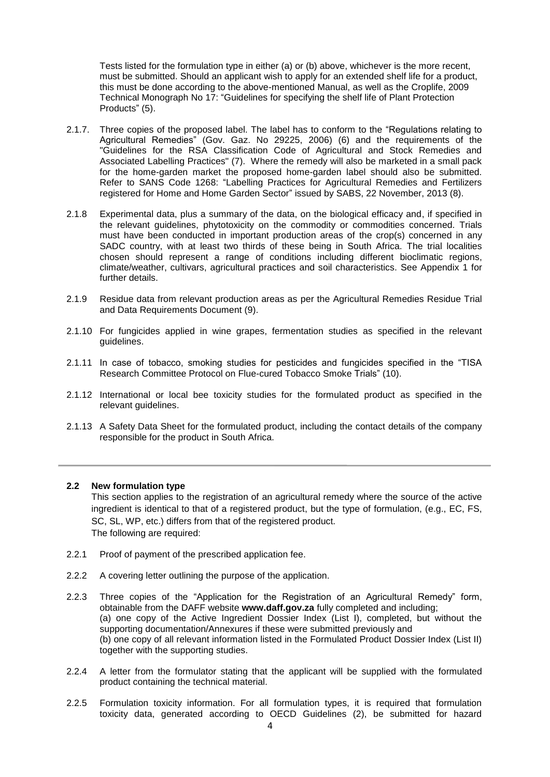Tests listed for the formulation type in either (a) or (b) above, whichever is the more recent, must be submitted. Should an applicant wish to apply for an extended shelf life for a product, this must be done according to the above-mentioned Manual, as well as the Croplife, 2009 Technical Monograph No 17: "Guidelines for specifying the shelf life of Plant Protection Products" (5).

- 2.1.7. Three copies of the proposed label. The label has to conform to the "Regulations relating to Agricultural Remedies" (Gov. Gaz. No 29225, 2006) (6) and the requirements of the "Guidelines for the RSA Classification Code of Agricultural and Stock Remedies and Associated Labelling Practices" (7). Where the remedy will also be marketed in a small pack for the home-garden market the proposed home-garden label should also be submitted. Refer to SANS Code 1268: "Labelling Practices for Agricultural Remedies and Fertilizers registered for Home and Home Garden Sector" issued by SABS, 22 November, 2013 (8).
- 2.1.8 Experimental data, plus a summary of the data, on the biological efficacy and, if specified in the relevant guidelines, phytotoxicity on the commodity or commodities concerned. Trials must have been conducted in important production areas of the crop(s) concerned in any SADC country, with at least two thirds of these being in South Africa. The trial localities chosen should represent a range of conditions including different bioclimatic regions, climate/weather, cultivars, agricultural practices and soil characteristics. See Appendix 1 for further details.
- 2.1.9 Residue data from relevant production areas as per the Agricultural Remedies Residue Trial and Data Requirements Document (9).
- 2.1.10 For fungicides applied in wine grapes, fermentation studies as specified in the relevant guidelines.
- 2.1.11 In case of tobacco, smoking studies for pesticides and fungicides specified in the "TISA Research Committee Protocol on Flue-cured Tobacco Smoke Trials" (10).
- 2.1.12 International or local bee toxicity studies for the formulated product as specified in the relevant guidelines.
- 2.1.13 A Safety Data Sheet for the formulated product, including the contact details of the company responsible for the product in South Africa.

## **2.2 New formulation type**

This section applies to the registration of an agricultural remedy where the source of the active ingredient is identical to that of a registered product, but the type of formulation, (e.g., EC, FS, SC, SL, WP, etc.) differs from that of the registered product. The following are required:

- 2.2.1 Proof of payment of the prescribed application fee.
- 2.2.2 A covering letter outlining the purpose of the application.
- 2.2.3 Three copies of the "Application for the Registration of an Agricultural Remedy" form, obtainable from the DAFF website **www.daff.gov.za** fully completed and including; (a) one copy of the Active Ingredient Dossier Index (List I), completed, but without the supporting documentation/Annexures if these were submitted previously and (b) one copy of all relevant information listed in the Formulated Product Dossier Index (List II) together with the supporting studies.
- 2.2.4 A letter from the formulator stating that the applicant will be supplied with the formulated product containing the technical material.
- 2.2.5 Formulation toxicity information. For all formulation types, it is required that formulation toxicity data, generated according to OECD Guidelines (2), be submitted for hazard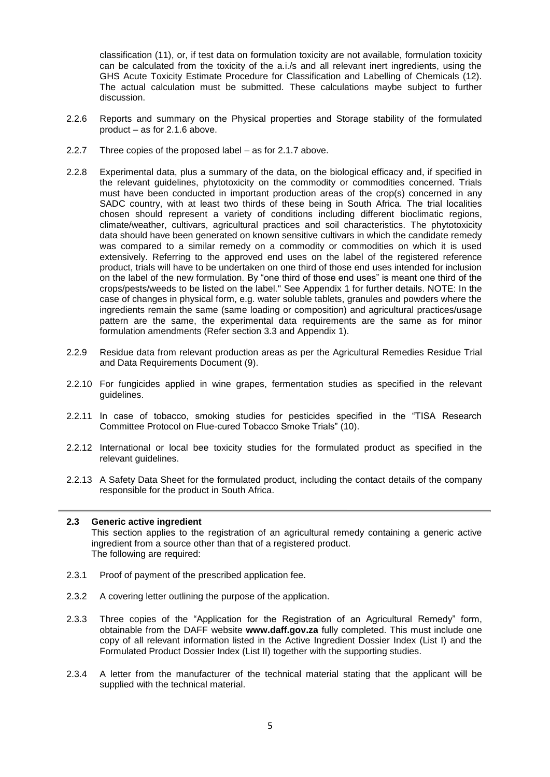classification (11), or, if test data on formulation toxicity are not available, formulation toxicity can be calculated from the toxicity of the a.i./s and all relevant inert ingredients, using the GHS Acute Toxicity Estimate Procedure for Classification and Labelling of Chemicals (12). The actual calculation must be submitted. These calculations maybe subject to further discussion.

- 2.2.6 Reports and summary on the Physical properties and Storage stability of the formulated product – as for 2.1.6 above.
- 2.2.7 Three copies of the proposed label as for 2.1.7 above.
- 2.2.8 Experimental data, plus a summary of the data, on the biological efficacy and, if specified in the relevant guidelines, phytotoxicity on the commodity or commodities concerned. Trials must have been conducted in important production areas of the crop(s) concerned in any SADC country, with at least two thirds of these being in South Africa. The trial localities chosen should represent a variety of conditions including different bioclimatic regions, climate/weather, cultivars, agricultural practices and soil characteristics. The phytotoxicity data should have been generated on known sensitive cultivars in which the candidate remedy was compared to a similar remedy on a commodity or commodities on which it is used extensively. Referring to the approved end uses on the label of the registered reference product, trials will have to be undertaken on one third of those end uses intended for inclusion on the label of the new formulation. By "one third of those end uses" is meant one third of the crops/pests/weeds to be listed on the label." See Appendix 1 for further details. NOTE: In the case of changes in physical form, e.g. water soluble tablets, granules and powders where the ingredients remain the same (same loading or composition) and agricultural practices/usage pattern are the same, the experimental data requirements are the same as for minor formulation amendments (Refer section 3.3 and Appendix 1).
- 2.2.9 Residue data from relevant production areas as per the Agricultural Remedies Residue Trial and Data Requirements Document (9).
- 2.2.10 For fungicides applied in wine grapes, fermentation studies as specified in the relevant guidelines.
- 2.2.11 In case of tobacco, smoking studies for pesticides specified in the "TISA Research Committee Protocol on Flue-cured Tobacco Smoke Trials" (10).
- 2.2.12 International or local bee toxicity studies for the formulated product as specified in the relevant guidelines.
- 2.2.13 A Safety Data Sheet for the formulated product, including the contact details of the company responsible for the product in South Africa.

# **2.3 Generic active ingredient**

This section applies to the registration of an agricultural remedy containing a generic active ingredient from a source other than that of a registered product. The following are required:

- 2.3.1 Proof of payment of the prescribed application fee.
- 2.3.2 A covering letter outlining the purpose of the application.
- 2.3.3 Three copies of the "Application for the Registration of an Agricultural Remedy" form, obtainable from the DAFF website **www.daff.gov.za** fully completed. This must include one copy of all relevant information listed in the Active Ingredient Dossier Index (List I) and the Formulated Product Dossier Index (List II) together with the supporting studies.
- 2.3.4 A letter from the manufacturer of the technical material stating that the applicant will be supplied with the technical material.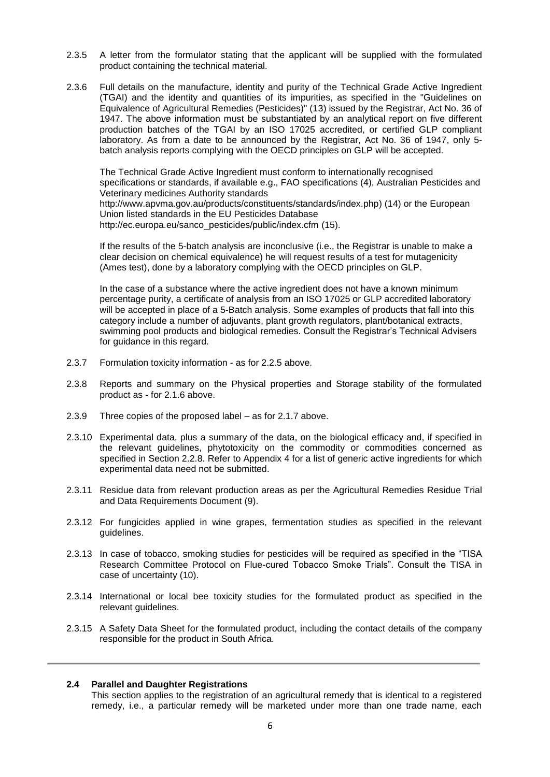- 2.3.5 A letter from the formulator stating that the applicant will be supplied with the formulated product containing the technical material.
- 2.3.6 Full details on the manufacture, identity and purity of the Technical Grade Active Ingredient (TGAI) and the identity and quantities of its impurities, as specified in the "Guidelines on Equivalence of Agricultural Remedies (Pesticides)" (13) issued by the Registrar, Act No. 36 of 1947. The above information must be substantiated by an analytical report on five different production batches of the TGAI by an ISO 17025 accredited, or certified GLP compliant laboratory. As from a date to be announced by the Registrar, Act No. 36 of 1947, only 5 batch analysis reports complying with the OECD principles on GLP will be accepted.

The Technical Grade Active Ingredient must conform to internationally recognised specifications or standards, if available e.g., FAO specifications (4), Australian Pesticides and Veterinary medicines Authority standards http://www.apvma.gov.au/products/constituents/standards/index.php) (14) or the European Union listed standards in the EU Pesticides Database http://ec.europa.eu/sanco\_pesticides/public/index.cfm (15).

If the results of the 5-batch analysis are inconclusive (i.e., the Registrar is unable to make a clear decision on chemical equivalence) he will request results of a test for mutagenicity (Ames test), done by a laboratory complying with the OECD principles on GLP.

In the case of a substance where the active ingredient does not have a known minimum percentage purity, a certificate of analysis from an ISO 17025 or GLP accredited laboratory will be accepted in place of a 5-Batch analysis. Some examples of products that fall into this category include a number of adjuvants, plant growth regulators, plant/botanical extracts, swimming pool products and biological remedies. Consult the Registrar's Technical Advisers for guidance in this regard.

- 2.3.7 Formulation toxicity information as for 2.2.5 above.
- 2.3.8 Reports and summary on the Physical properties and Storage stability of the formulated product as - for 2.1.6 above.
- 2.3.9 Three copies of the proposed label as for 2.1.7 above.
- 2.3.10 Experimental data, plus a summary of the data, on the biological efficacy and, if specified in the relevant guidelines, phytotoxicity on the commodity or commodities concerned as specified in Section 2.2.8. Refer to Appendix 4 for a list of generic active ingredients for which experimental data need not be submitted.
- 2.3.11 Residue data from relevant production areas as per the Agricultural Remedies Residue Trial and Data Requirements Document (9).
- 2.3.12 For fungicides applied in wine grapes, fermentation studies as specified in the relevant guidelines.
- 2.3.13 In case of tobacco, smoking studies for pesticides will be required as specified in the "TISA Research Committee Protocol on Flue-cured Tobacco Smoke Trials". Consult the TISA in case of uncertainty (10).
- 2.3.14 International or local bee toxicity studies for the formulated product as specified in the relevant guidelines.
- 2.3.15 A Safety Data Sheet for the formulated product, including the contact details of the company responsible for the product in South Africa.

## **2.4 Parallel and Daughter Registrations**

This section applies to the registration of an agricultural remedy that is identical to a registered remedy, i.e., a particular remedy will be marketed under more than one trade name, each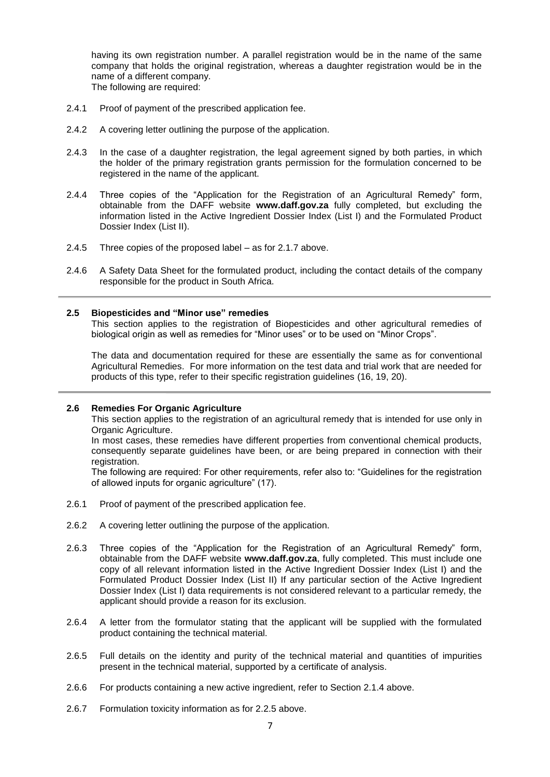having its own registration number. A parallel registration would be in the name of the same company that holds the original registration, whereas a daughter registration would be in the name of a different company. The following are required:

- 2.4.1 Proof of payment of the prescribed application fee.
- 2.4.2 A covering letter outlining the purpose of the application.
- 2.4.3 In the case of a daughter registration, the legal agreement signed by both parties, in which the holder of the primary registration grants permission for the formulation concerned to be registered in the name of the applicant.
- 2.4.4 Three copies of the "Application for the Registration of an Agricultural Remedy" form, obtainable from the DAFF website **www.daff.gov.za** fully completed, but excluding the information listed in the Active Ingredient Dossier Index (List I) and the Formulated Product Dossier Index (List II).
- 2.4.5 Three copies of the proposed label as for 2.1.7 above.
- 2.4.6 A Safety Data Sheet for the formulated product, including the contact details of the company responsible for the product in South Africa.

## **2.5 Biopesticides and "Minor use" remedies**

This section applies to the registration of Biopesticides and other agricultural remedies of biological origin as well as remedies for "Minor uses" or to be used on "Minor Crops".

The data and documentation required for these are essentially the same as for conventional Agricultural Remedies. For more information on the test data and trial work that are needed for products of this type, refer to their specific registration guidelines (16, 19, 20).

### **2.6 Remedies For Organic Agriculture**

This section applies to the registration of an agricultural remedy that is intended for use only in Organic Agriculture.

In most cases, these remedies have different properties from conventional chemical products, consequently separate guidelines have been, or are being prepared in connection with their registration.

The following are required: For other requirements, refer also to: "Guidelines for the registration of allowed inputs for organic agriculture" (17).

- 2.6.1 Proof of payment of the prescribed application fee.
- 2.6.2 A covering letter outlining the purpose of the application.
- 2.6.3 Three copies of the "Application for the Registration of an Agricultural Remedy" form, obtainable from the DAFF website **www.daff.gov.za**, fully completed. This must include one copy of all relevant information listed in the Active Ingredient Dossier Index (List I) and the Formulated Product Dossier Index (List II) If any particular section of the Active Ingredient Dossier Index (List I) data requirements is not considered relevant to a particular remedy, the applicant should provide a reason for its exclusion.
- 2.6.4 A letter from the formulator stating that the applicant will be supplied with the formulated product containing the technical material.
- 2.6.5 Full details on the identity and purity of the technical material and quantities of impurities present in the technical material, supported by a certificate of analysis.
- 2.6.6 For products containing a new active ingredient, refer to Section 2.1.4 above.
- 2.6.7 Formulation toxicity information as for 2.2.5 above.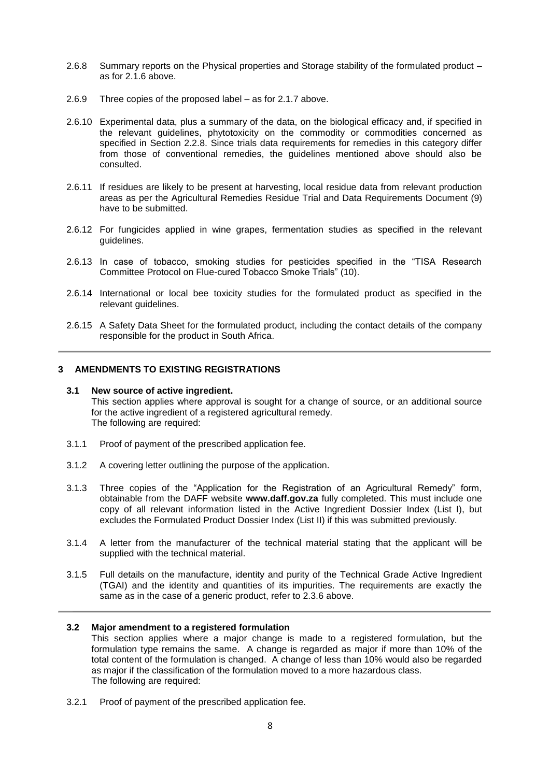- 2.6.8 Summary reports on the Physical properties and Storage stability of the formulated product as for 2.1.6 above.
- 2.6.9 Three copies of the proposed label as for 2.1.7 above.
- 2.6.10 Experimental data, plus a summary of the data, on the biological efficacy and, if specified in the relevant guidelines, phytotoxicity on the commodity or commodities concerned as specified in Section 2.2.8. Since trials data requirements for remedies in this category differ from those of conventional remedies, the guidelines mentioned above should also be consulted.
- 2.6.11 If residues are likely to be present at harvesting, local residue data from relevant production areas as per the Agricultural Remedies Residue Trial and Data Requirements Document (9) have to be submitted.
- 2.6.12 For fungicides applied in wine grapes, fermentation studies as specified in the relevant guidelines.
- 2.6.13 In case of tobacco, smoking studies for pesticides specified in the "TISA Research Committee Protocol on Flue-cured Tobacco Smoke Trials" (10).
- 2.6.14 International or local bee toxicity studies for the formulated product as specified in the relevant guidelines.
- 2.6.15 A Safety Data Sheet for the formulated product, including the contact details of the company responsible for the product in South Africa.

# **3 AMENDMENTS TO EXISTING REGISTRATIONS**

### **3.1 New source of active ingredient.** This section applies where approval is sought for a change of source, or an additional source for the active ingredient of a registered agricultural remedy. The following are required:

- 3.1.1 Proof of payment of the prescribed application fee.
- 3.1.2 A covering letter outlining the purpose of the application.
- 3.1.3 Three copies of the "Application for the Registration of an Agricultural Remedy" form, obtainable from the DAFF website **www.daff.gov.za** fully completed. This must include one copy of all relevant information listed in the Active Ingredient Dossier Index (List I), but excludes the Formulated Product Dossier Index (List II) if this was submitted previously.
- 3.1.4 A letter from the manufacturer of the technical material stating that the applicant will be supplied with the technical material.
- 3.1.5 Full details on the manufacture, identity and purity of the Technical Grade Active Ingredient (TGAI) and the identity and quantities of its impurities. The requirements are exactly the same as in the case of a generic product, refer to 2.3.6 above.

## **3.2 Major amendment to a registered formulation**

This section applies where a major change is made to a registered formulation, but the formulation type remains the same. A change is regarded as major if more than 10% of the total content of the formulation is changed. A change of less than 10% would also be regarded as major if the classification of the formulation moved to a more hazardous class. The following are required:

3.2.1 Proof of payment of the prescribed application fee.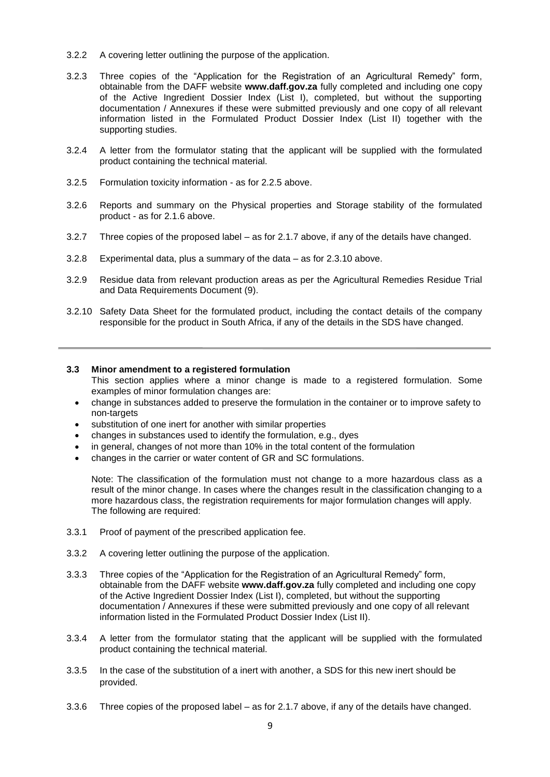- 3.2.2 A covering letter outlining the purpose of the application.
- 3.2.3 Three copies of the "Application for the Registration of an Agricultural Remedy" form, obtainable from the DAFF website **www.daff.gov.za** fully completed and including one copy of the Active Ingredient Dossier Index (List I), completed, but without the supporting documentation / Annexures if these were submitted previously and one copy of all relevant information listed in the Formulated Product Dossier Index (List II) together with the supporting studies.
- 3.2.4 A letter from the formulator stating that the applicant will be supplied with the formulated product containing the technical material.
- 3.2.5 Formulation toxicity information as for 2.2.5 above.
- 3.2.6 Reports and summary on the Physical properties and Storage stability of the formulated product - as for 2.1.6 above.
- 3.2.7 Three copies of the proposed label as for 2.1.7 above, if any of the details have changed.
- 3.2.8 Experimental data, plus a summary of the data as for 2.3.10 above.
- 3.2.9 Residue data from relevant production areas as per the Agricultural Remedies Residue Trial and Data Requirements Document (9).
- 3.2.10 Safety Data Sheet for the formulated product, including the contact details of the company responsible for the product in South Africa, if any of the details in the SDS have changed.

## **3.3 Minor amendment to a registered formulation**

- This section applies where a minor change is made to a registered formulation. Some examples of minor formulation changes are:
- change in substances added to preserve the formulation in the container or to improve safety to non-targets
- substitution of one inert for another with similar properties
- changes in substances used to identify the formulation, e.g., dyes
- in general, changes of not more than 10% in the total content of the formulation
- changes in the carrier or water content of GR and SC formulations.

Note: The classification of the formulation must not change to a more hazardous class as a result of the minor change. In cases where the changes result in the classification changing to a more hazardous class, the registration requirements for major formulation changes will apply. The following are required:

- 3.3.1 Proof of payment of the prescribed application fee.
- 3.3.2 A covering letter outlining the purpose of the application.
- 3.3.3 Three copies of the "Application for the Registration of an Agricultural Remedy" form, obtainable from the DAFF website **www.daff.gov.za** fully completed and including one copy of the Active Ingredient Dossier Index (List I), completed, but without the supporting documentation / Annexures if these were submitted previously and one copy of all relevant information listed in the Formulated Product Dossier Index (List II).
- 3.3.4 A letter from the formulator stating that the applicant will be supplied with the formulated product containing the technical material.
- 3.3.5 In the case of the substitution of a inert with another, a SDS for this new inert should be provided.
- 3.3.6 Three copies of the proposed label as for 2.1.7 above, if any of the details have changed.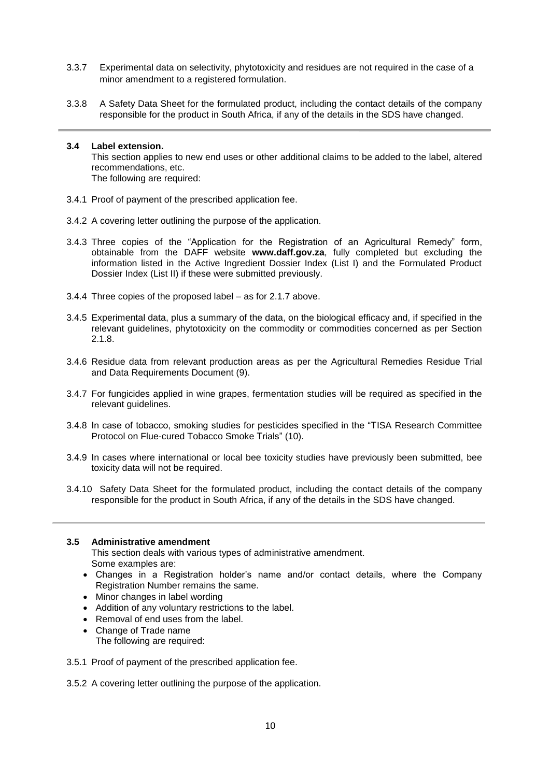- 3.3.7 Experimental data on selectivity, phytotoxicity and residues are not required in the case of a minor amendment to a registered formulation.
- 3.3.8 A Safety Data Sheet for the formulated product, including the contact details of the company responsible for the product in South Africa, if any of the details in the SDS have changed.

#### **3.4 Label extension.** This section applies to new end uses or other additional claims to be added to the label, altered recommendations, etc. The following are required:

- 3.4.1 Proof of payment of the prescribed application fee.
- 3.4.2 A covering letter outlining the purpose of the application.
- 3.4.3 Three copies of the "Application for the Registration of an Agricultural Remedy" form, obtainable from the DAFF website **www.daff.gov.za**, fully completed but excluding the information listed in the Active Ingredient Dossier Index (List I) and the Formulated Product Dossier Index (List II) if these were submitted previously.
- 3.4.4 Three copies of the proposed label as for 2.1.7 above.
- 3.4.5 Experimental data, plus a summary of the data, on the biological efficacy and, if specified in the relevant guidelines, phytotoxicity on the commodity or commodities concerned as per Section 2.1.8.
- 3.4.6 Residue data from relevant production areas as per the Agricultural Remedies Residue Trial and Data Requirements Document (9).
- 3.4.7 For fungicides applied in wine grapes, fermentation studies will be required as specified in the relevant guidelines.
- 3.4.8 In case of tobacco, smoking studies for pesticides specified in the "TISA Research Committee Protocol on Flue-cured Tobacco Smoke Trials" (10).
- 3.4.9 In cases where international or local bee toxicity studies have previously been submitted, bee toxicity data will not be required.
- 3.4.10 Safety Data Sheet for the formulated product, including the contact details of the company responsible for the product in South Africa, if any of the details in the SDS have changed.

#### **3.5 Administrative amendment**

This section deals with various types of administrative amendment. Some examples are:

- Changes in a Registration holder's name and/or contact details, where the Company Registration Number remains the same.
- Minor changes in label wording
- Addition of any voluntary restrictions to the label.
- Removal of end uses from the label.
- Change of Trade name The following are required:
- 3.5.1 Proof of payment of the prescribed application fee.
- 3.5.2 A covering letter outlining the purpose of the application.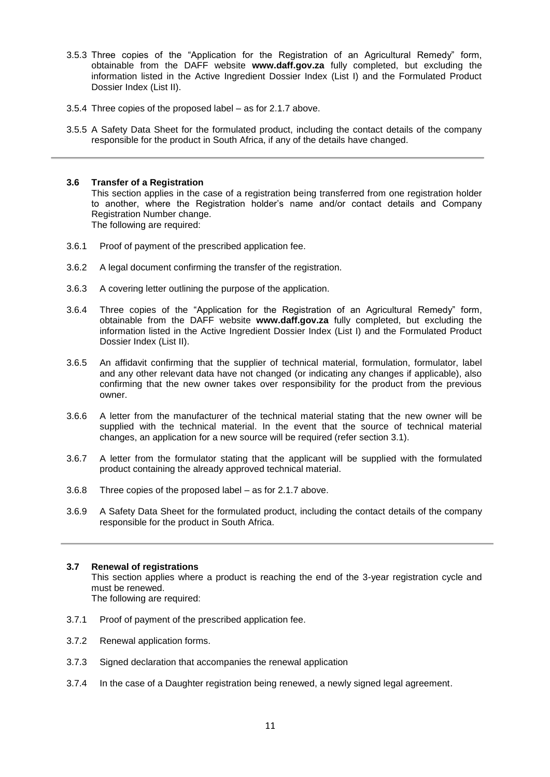- 3.5.3 Three copies of the "Application for the Registration of an Agricultural Remedy" form, obtainable from the DAFF website **www.daff.gov.za** fully completed, but excluding the information listed in the Active Ingredient Dossier Index (List I) and the Formulated Product Dossier Index (List II).
- 3.5.4 Three copies of the proposed label as for 2.1.7 above.
- 3.5.5 A Safety Data Sheet for the formulated product, including the contact details of the company responsible for the product in South Africa, if any of the details have changed.

# **3.6 Transfer of a Registration**

This section applies in the case of a registration being transferred from one registration holder to another, where the Registration holder's name and/or contact details and Company Registration Number change.

The following are required:

- 3.6.1 Proof of payment of the prescribed application fee.
- 3.6.2 A legal document confirming the transfer of the registration.
- 3.6.3 A covering letter outlining the purpose of the application.
- 3.6.4 Three copies of the "Application for the Registration of an Agricultural Remedy" form, obtainable from the DAFF website **www.daff.gov.za** fully completed, but excluding the information listed in the Active Ingredient Dossier Index (List I) and the Formulated Product Dossier Index (List II).
- 3.6.5 An affidavit confirming that the supplier of technical material, formulation, formulator, label and any other relevant data have not changed (or indicating any changes if applicable), also confirming that the new owner takes over responsibility for the product from the previous owner.
- 3.6.6 A letter from the manufacturer of the technical material stating that the new owner will be supplied with the technical material. In the event that the source of technical material changes, an application for a new source will be required (refer section 3.1).
- 3.6.7 A letter from the formulator stating that the applicant will be supplied with the formulated product containing the already approved technical material.
- 3.6.8 Three copies of the proposed label as for 2.1.7 above.
- 3.6.9 A Safety Data Sheet for the formulated product, including the contact details of the company responsible for the product in South Africa.

# **3.7 Renewal of registrations**

This section applies where a product is reaching the end of the 3-year registration cycle and must be renewed.

The following are required:

- 3.7.1 Proof of payment of the prescribed application fee.
- 3.7.2 Renewal application forms.
- 3.7.3 Signed declaration that accompanies the renewal application
- 3.7.4 In the case of a Daughter registration being renewed, a newly signed legal agreement.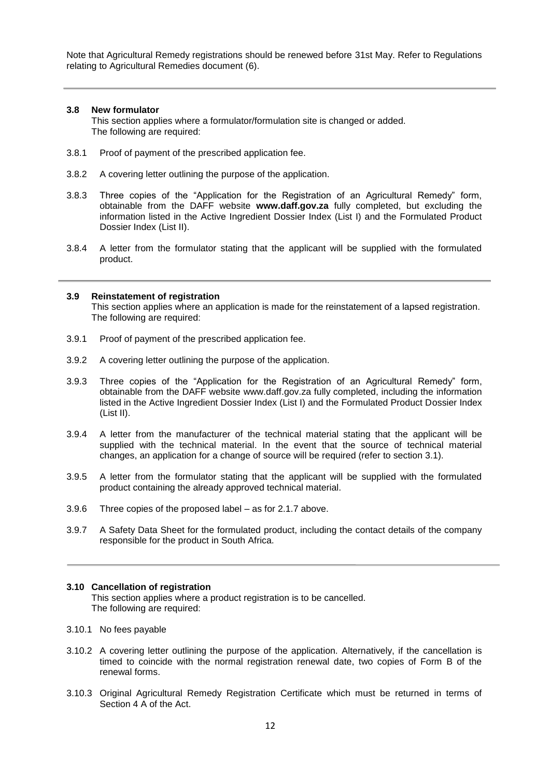Note that Agricultural Remedy registrations should be renewed before 31st May. Refer to Regulations relating to Agricultural Remedies document (6).

# **3.8 New formulator**

ł

This section applies where a formulator/formulation site is changed or added. The following are required:

- 3.8.1 Proof of payment of the prescribed application fee.
- 3.8.2 A covering letter outlining the purpose of the application.
- 3.8.3 Three copies of the "Application for the Registration of an Agricultural Remedy" form, obtainable from the DAFF website **www.daff.gov.za** fully completed, but excluding the information listed in the Active Ingredient Dossier Index (List I) and the Formulated Product Dossier Index (List II).
- 3.8.4 A letter from the formulator stating that the applicant will be supplied with the formulated product.

## **3.9 Reinstatement of registration**

This section applies where an application is made for the reinstatement of a lapsed registration. The following are required:

- 3.9.1 Proof of payment of the prescribed application fee.
- 3.9.2 A covering letter outlining the purpose of the application.
- 3.9.3 Three copies of the "Application for the Registration of an Agricultural Remedy" form, obtainable from the DAFF website www.daff.gov.za fully completed, including the information listed in the Active Ingredient Dossier Index (List I) and the Formulated Product Dossier Index (List II).
- 3.9.4 A letter from the manufacturer of the technical material stating that the applicant will be supplied with the technical material. In the event that the source of technical material changes, an application for a change of source will be required (refer to section 3.1).
- 3.9.5 A letter from the formulator stating that the applicant will be supplied with the formulated product containing the already approved technical material.
- 3.9.6 Three copies of the proposed label as for 2.1.7 above.
- 3.9.7 A Safety Data Sheet for the formulated product, including the contact details of the company responsible for the product in South Africa.

## **3.10 Cancellation of registration**

This section applies where a product registration is to be cancelled. The following are required:

- 3.10.1 No fees payable
- 3.10.2 A covering letter outlining the purpose of the application. Alternatively, if the cancellation is timed to coincide with the normal registration renewal date, two copies of Form B of the renewal forms.
- 3.10.3 Original Agricultural Remedy Registration Certificate which must be returned in terms of Section 4 A of the Act.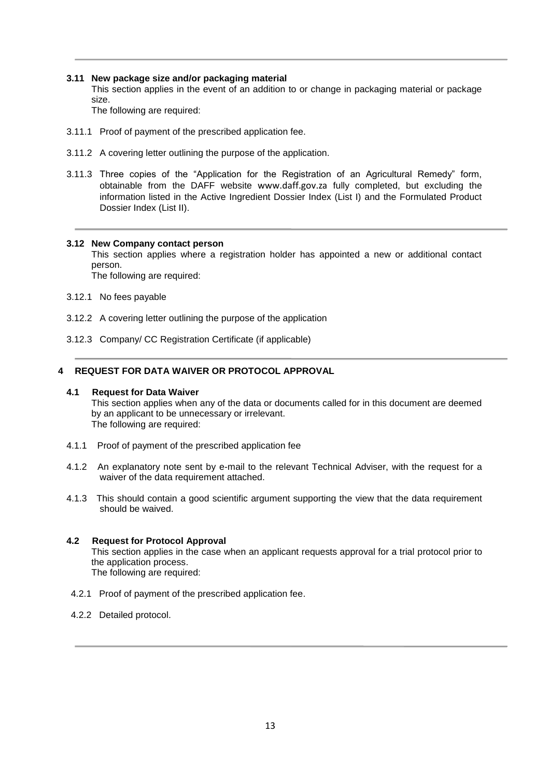# **3.11 New package size and/or packaging material**

This section applies in the event of an addition to or change in packaging material or package size.

The following are required:

- 3.11.1 Proof of payment of the prescribed application fee.
- 3.11.2 A covering letter outlining the purpose of the application.
- 3.11.3 Three copies of the "Application for the Registration of an Agricultural Remedy" form, obtainable from the DAFF website [www.daff.gov.za](http://www.daff.gov.za/) fully completed, but excluding the information listed in the Active Ingredient Dossier Index (List I) and the Formulated Product Dossier Index (List II).

## **3.12 New Company contact person**

This section applies where a registration holder has appointed a new or additional contact person.

The following are required:

- 3.12.1 No fees payable
- 3.12.2 A covering letter outlining the purpose of the application
- 3.12.3 Company/ CC Registration Certificate (if applicable)

# **4 REQUEST FOR DATA WAIVER OR PROTOCOL APPROVAL**

#### **4.1 Request for Data Waiver**

This section applies when any of the data or documents called for in this document are deemed by an applicant to be unnecessary or irrelevant. The following are required:

- 4.1.1 Proof of payment of the prescribed application fee
- 4.1.2 An explanatory note sent by e-mail to the relevant Technical Adviser, with the request for a waiver of the data requirement attached.
- 4.1.3 This should contain a good scientific argument supporting the view that the data requirement should be waived.

# **4.2 Request for Protocol Approval**

This section applies in the case when an applicant requests approval for a trial protocol prior to the application process. The following are required:

- 4.2.1 Proof of payment of the prescribed application fee.
- 4.2.2 Detailed protocol.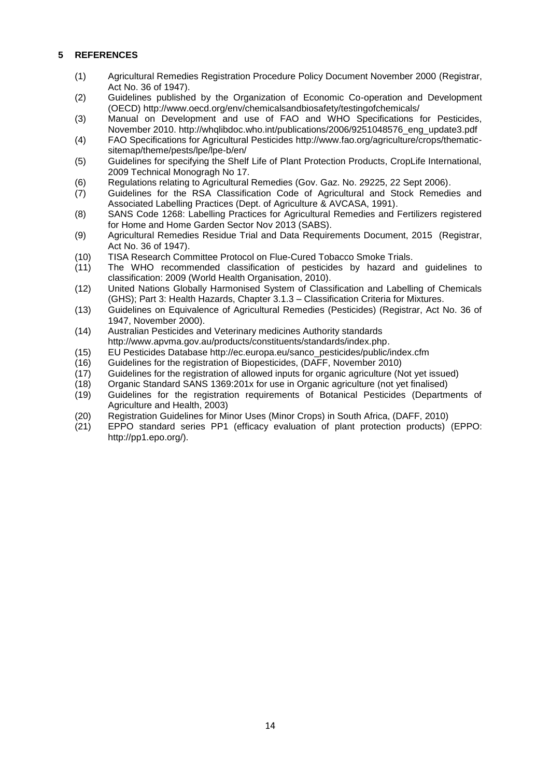# **5 REFERENCES**

- (1) Agricultural Remedies Registration Procedure Policy Document November 2000 (Registrar, Act No. 36 of 1947).
- (2) Guidelines published by the Organization of Economic Co-operation and Development (OECD) http://www.oecd.org/env/chemicalsandbiosafety/testingofchemicals/
- (3) Manual on Development and use of FAO and WHO Specifications for Pesticides, November 2010. http://whalibdoc.who.int/publications/2006/9251048576\_eng\_update3.pdf
- (4) FAO Specifications for Agricultural Pesticides http://www.fao.org/agriculture/crops/thematicsitemap/theme/pests/lpe/lpe-b/en/
- (5) Guidelines for specifying the Shelf Life of Plant Protection Products, CropLife International, 2009 Technical Monogragh No 17.
- (6) Regulations relating to Agricultural Remedies (Gov. Gaz. No. 29225, 22 Sept 2006).
- (7) Guidelines for the RSA Classification Code of Agricultural and Stock Remedies and Associated Labelling Practices (Dept. of Agriculture & AVCASA, 1991).
- (8) SANS Code 1268: Labelling Practices for Agricultural Remedies and Fertilizers registered for Home and Home Garden Sector Nov 2013 (SABS).
- (9) Agricultural Remedies Residue Trial and Data Requirements Document, 2015 (Registrar, Act No. 36 of 1947).
- (10) TISA Research Committee Protocol on Flue-Cured Tobacco Smoke Trials.
- (11) The WHO recommended classification of pesticides by hazard and guidelines to classification: 2009 (World Health Organisation, 2010).
- (12) United Nations Globally Harmonised System of Classification and Labelling of Chemicals (GHS); Part 3: Health Hazards, Chapter 3.1.3 – Classification Criteria for Mixtures.
- (13) Guidelines on Equivalence of Agricultural Remedies (Pesticides) (Registrar, Act No. 36 of 1947, November 2000).
- (14) Australian Pesticides and Veterinary medicines Authority standards http://www.apvma.gov.au/products/constituents/standards/index.php.
- (15) EU Pesticides Database http://ec.europa.eu/sanco\_pesticides/public/index.cfm
- (16) Guidelines for the registration of Biopesticides, (DAFF, November 2010)
- (17) Guidelines for the registration of allowed inputs for organic agriculture (Not yet issued)
- (18) Organic Standard SANS 1369:201x for use in Organic agriculture (not yet finalised)
- (19) Guidelines for the registration requirements of Botanical Pesticides (Departments of Agriculture and Health, 2003)
- (20) Registration Guidelines for Minor Uses (Minor Crops) in South Africa, (DAFF, 2010)
- (21) EPPO standard series PP1 (efficacy evaluation of plant protection products) (EPPO: http://pp1.epo.org/).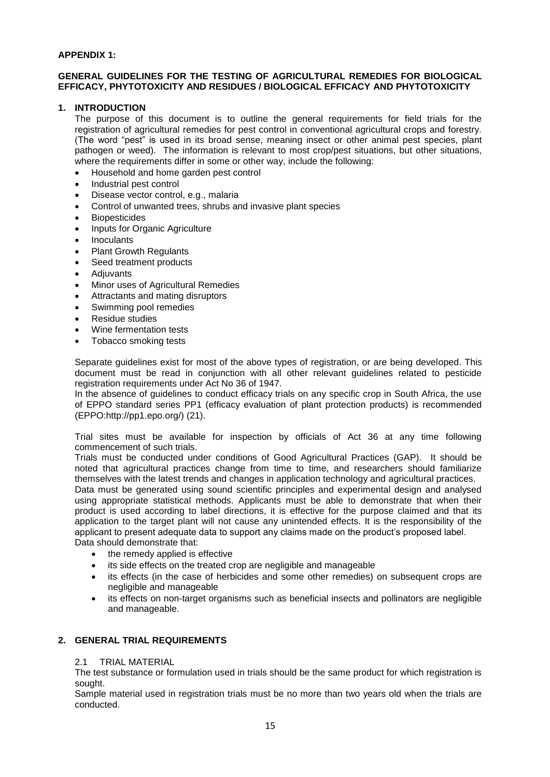# **APPENDIX 1:**

# **GENERAL GUIDELINES FOR THE TESTING OF AGRICULTURAL REMEDIES FOR BIOLOGICAL EFFICACY, PHYTOTOXICITY AND RESIDUES / BIOLOGICAL EFFICACY AND PHYTOTOXICITY**

# **1. INTRODUCTION**

The purpose of this document is to outline the general requirements for field trials for the registration of agricultural remedies for pest control in conventional agricultural crops and forestry. (The word "pest" is used in its broad sense, meaning insect or other animal pest species, plant pathogen or weed). The information is relevant to most crop/pest situations, but other situations, where the requirements differ in some or other way, include the following:

- Household and home garden pest control
- Industrial pest control
- Disease vector control, e.g., malaria
- Control of unwanted trees, shrubs and invasive plant species
- Biopesticides
- Inputs for Organic Agriculture
- Inoculants
- Plant Growth Regulants
- Seed treatment products
- Adjuvants
- Minor uses of Agricultural Remedies
- Attractants and mating disruptors
- Swimming pool remedies
- Residue studies
- Wine fermentation tests
- Tobacco smoking tests

Separate guidelines exist for most of the above types of registration, or are being developed. This document must be read in conjunction with all other relevant guidelines related to pesticide registration requirements under Act No 36 of 1947.

In the absence of guidelines to conduct efficacy trials on any specific crop in South Africa, the use of EPPO standard series PP1 (efficacy evaluation of plant protection products) is recommended (EPPO:http://pp1.epo.org/) (21).

Trial sites must be available for inspection by officials of Act 36 at any time following commencement of such trials.

Trials must be conducted under conditions of Good Agricultural Practices (GAP). It should be noted that agricultural practices change from time to time, and researchers should familiarize themselves with the latest trends and changes in application technology and agricultural practices.

Data must be generated using sound scientific principles and experimental design and analysed using appropriate statistical methods. Applicants must be able to demonstrate that when their product is used according to label directions, it is effective for the purpose claimed and that its application to the target plant will not cause any unintended effects. It is the responsibility of the applicant to present adequate data to support any claims made on the product's proposed label. Data should demonstrate that:

- the remedy applied is effective
- its side effects on the treated crop are negligible and manageable
- its effects (in the case of herbicides and some other remedies) on subsequent crops are negligible and manageable
- its effects on non-target organisms such as beneficial insects and pollinators are negligible and manageable.

# **2. GENERAL TRIAL REQUIREMENTS**

## 2.1 TRIAL MATERIAL

The test substance or formulation used in trials should be the same product for which registration is sought.

Sample material used in registration trials must be no more than two years old when the trials are conducted.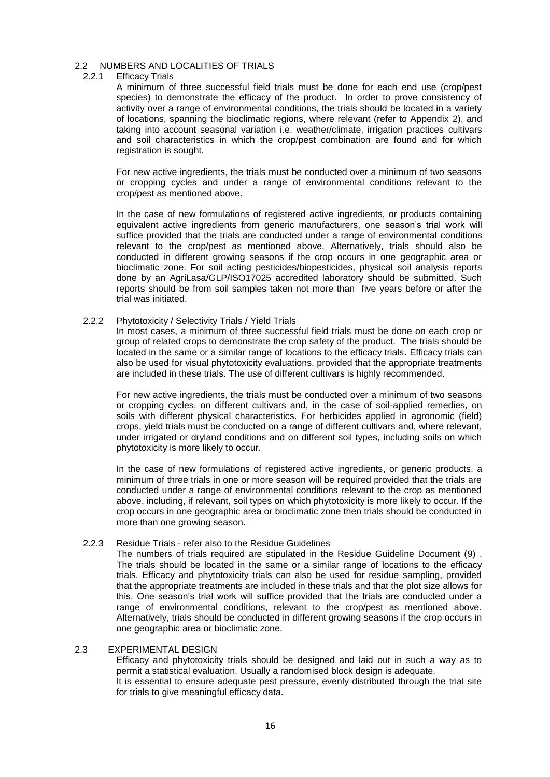# 2.2 NUMBERS AND LOCALITIES OF TRIALS<br>221 Fifticacy Trials

# **Efficacy Trials**

A minimum of three successful field trials must be done for each end use (crop/pest species) to demonstrate the efficacy of the product. In order to prove consistency of activity over a range of environmental conditions, the trials should be located in a variety of locations, spanning the bioclimatic regions, where relevant (refer to Appendix 2), and taking into account seasonal variation i.e. weather/climate, irrigation practices cultivars and soil characteristics in which the crop/pest combination are found and for which registration is sought.

For new active ingredients, the trials must be conducted over a minimum of two seasons or cropping cycles and under a range of environmental conditions relevant to the crop/pest as mentioned above.

In the case of new formulations of registered active ingredients, or products containing equivalent active ingredients from generic manufacturers, one season's trial work will suffice provided that the trials are conducted under a range of environmental conditions relevant to the crop/pest as mentioned above. Alternatively, trials should also be conducted in different growing seasons if the crop occurs in one geographic area or bioclimatic zone. For soil acting pesticides/biopesticides, physical soil analysis reports done by an AgriLasa/GLP/ISO17025 accredited laboratory should be submitted. Such reports should be from soil samples taken not more than five years before or after the trial was initiated.

#### 2.2.2 Phytotoxicity / Selectivity Trials / Yield Trials

In most cases, a minimum of three successful field trials must be done on each crop or group of related crops to demonstrate the crop safety of the product. The trials should be located in the same or a similar range of locations to the efficacy trials. Efficacy trials can also be used for visual phytotoxicity evaluations, provided that the appropriate treatments are included in these trials. The use of different cultivars is highly recommended.

For new active ingredients, the trials must be conducted over a minimum of two seasons or cropping cycles, on different cultivars and, in the case of soil-applied remedies, on soils with different physical characteristics. For herbicides applied in agronomic (field) crops, yield trials must be conducted on a range of different cultivars and, where relevant, under irrigated or dryland conditions and on different soil types, including soils on which phytotoxicity is more likely to occur.

In the case of new formulations of registered active ingredients, or generic products, a minimum of three trials in one or more season will be required provided that the trials are conducted under a range of environmental conditions relevant to the crop as mentioned above, including, if relevant, soil types on which phytotoxicity is more likely to occur. If the crop occurs in one geographic area or bioclimatic zone then trials should be conducted in more than one growing season.

## 2.2.3 Residue Trials - refer also to the Residue Guidelines

The numbers of trials required are stipulated in the Residue Guideline Document (9) . The trials should be located in the same or a similar range of locations to the efficacy trials. Efficacy and phytotoxicity trials can also be used for residue sampling, provided that the appropriate treatments are included in these trials and that the plot size allows for this. One season's trial work will suffice provided that the trials are conducted under a range of environmental conditions, relevant to the crop/pest as mentioned above. Alternatively, trials should be conducted in different growing seasons if the crop occurs in one geographic area or bioclimatic zone.

#### 2.3 EXPERIMENTAL DESIGN

Efficacy and phytotoxicity trials should be designed and laid out in such a way as to permit a statistical evaluation. Usually a randomised block design is adequate. It is essential to ensure adequate pest pressure, evenly distributed through the trial site for trials to give meaningful efficacy data.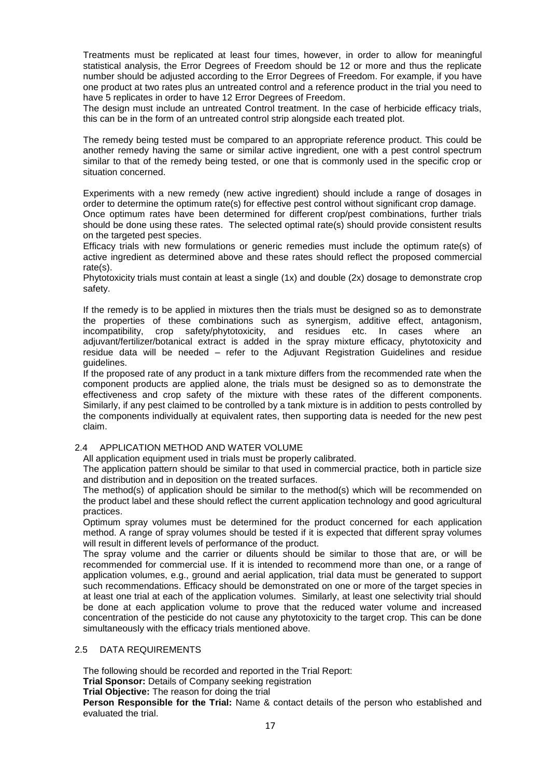Treatments must be replicated at least four times, however, in order to allow for meaningful statistical analysis, the Error Degrees of Freedom should be 12 or more and thus the replicate number should be adjusted according to the Error Degrees of Freedom. For example, if you have one product at two rates plus an untreated control and a reference product in the trial you need to have 5 replicates in order to have 12 Error Degrees of Freedom.

The design must include an untreated Control treatment. In the case of herbicide efficacy trials, this can be in the form of an untreated control strip alongside each treated plot.

The remedy being tested must be compared to an appropriate reference product. This could be another remedy having the same or similar active ingredient, one with a pest control spectrum similar to that of the remedy being tested, or one that is commonly used in the specific crop or situation concerned.

Experiments with a new remedy (new active ingredient) should include a range of dosages in order to determine the optimum rate(s) for effective pest control without significant crop damage.

Once optimum rates have been determined for different crop/pest combinations, further trials should be done using these rates. The selected optimal rate(s) should provide consistent results on the targeted pest species.

Efficacy trials with new formulations or generic remedies must include the optimum rate(s) of active ingredient as determined above and these rates should reflect the proposed commercial rate(s).

Phytotoxicity trials must contain at least a single (1x) and double (2x) dosage to demonstrate crop safety.

If the remedy is to be applied in mixtures then the trials must be designed so as to demonstrate the properties of these combinations such as synergism, additive effect, antagonism, incompatibility, crop safety/phytotoxicity, and residues etc. In cases where an adjuvant/fertilizer/botanical extract is added in the spray mixture efficacy, phytotoxicity and residue data will be needed – refer to the Adjuvant Registration Guidelines and residue guidelines.

If the proposed rate of any product in a tank mixture differs from the recommended rate when the component products are applied alone, the trials must be designed so as to demonstrate the effectiveness and crop safety of the mixture with these rates of the different components. Similarly, if any pest claimed to be controlled by a tank mixture is in addition to pests controlled by the components individually at equivalent rates, then supporting data is needed for the new pest claim.

## 2.4 APPLICATION METHOD AND WATER VOLUME

All application equipment used in trials must be properly calibrated.

The application pattern should be similar to that used in commercial practice, both in particle size and distribution and in deposition on the treated surfaces.

The method(s) of application should be similar to the method(s) which will be recommended on the product label and these should reflect the current application technology and good agricultural practices.

Optimum spray volumes must be determined for the product concerned for each application method. A range of spray volumes should be tested if it is expected that different spray volumes will result in different levels of performance of the product.

The spray volume and the carrier or diluents should be similar to those that are, or will be recommended for commercial use. If it is intended to recommend more than one, or a range of application volumes, e.g., ground and aerial application, trial data must be generated to support such recommendations. Efficacy should be demonstrated on one or more of the target species in at least one trial at each of the application volumes. Similarly, at least one selectivity trial should be done at each application volume to prove that the reduced water volume and increased concentration of the pesticide do not cause any phytotoxicity to the target crop. This can be done simultaneously with the efficacy trials mentioned above.

## 2.5 DATA REQUIREMENTS

The following should be recorded and reported in the Trial Report:

**Trial Sponsor:** Details of Company seeking registration

**Trial Objective:** The reason for doing the trial

**Person Responsible for the Trial:** Name & contact details of the person who established and evaluated the trial.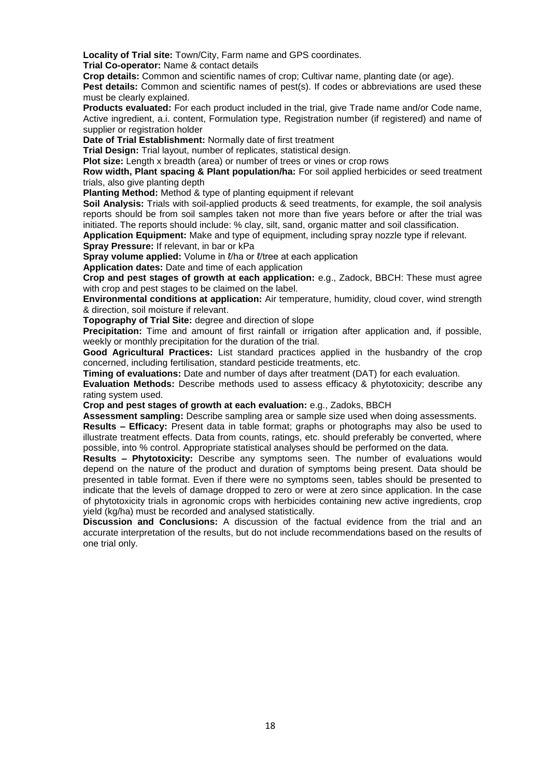**Locality of Trial site:** Town/City, Farm name and GPS coordinates.

**Trial Co-operator:** Name & contact details

**Crop details:** Common and scientific names of crop; Cultivar name, planting date (or age).

Pest details: Common and scientific names of pest(s). If codes or abbreviations are used these must be clearly explained.

**Products evaluated:** For each product included in the trial, give Trade name and/or Code name, Active ingredient, a.i. content, Formulation type, Registration number (if registered) and name of supplier or registration holder

**Date of Trial Establishment:** Normally date of first treatment

**Trial Design:** Trial layout, number of replicates, statistical design.

**Plot size:** Length x breadth (area) or number of trees or vines or crop rows

**Row width, Plant spacing & Plant population/ha:** For soil applied herbicides or seed treatment trials, also give planting depth

**Planting Method:** Method & type of planting equipment if relevant

**Soil Analysis:** Trials with soil-applied products & seed treatments, for example, the soil analysis reports should be from soil samples taken not more than five years before or after the trial was initiated. The reports should include: % clay, silt, sand, organic matter and soil classification.

**Application Equipment:** Make and type of equipment, including spray nozzle type if relevant. **Spray Pressure:** If relevant, in bar or kPa

**Spray volume applied:** Volume in *l*/ha or *l*/tree at each application

**Application dates:** Date and time of each application

**Crop and pest stages of growth at each application:** e.g., Zadock, BBCH: These must agree with crop and pest stages to be claimed on the label.

**Environmental conditions at application:** Air temperature, humidity, cloud cover, wind strength & direction, soil moisture if relevant.

**Topography of Trial Site:** degree and direction of slope

**Precipitation:** Time and amount of first rainfall or irrigation after application and, if possible, weekly or monthly precipitation for the duration of the trial.

**Good Agricultural Practices:** List standard practices applied in the husbandry of the crop concerned, including fertilisation, standard pesticide treatments, etc.

**Timing of evaluations:** Date and number of days after treatment (DAT) for each evaluation.

**Evaluation Methods:** Describe methods used to assess efficacy & phytotoxicity; describe any rating system used.

**Crop and pest stages of growth at each evaluation:** e.g., Zadoks, BBCH

**Assessment sampling:** Describe sampling area or sample size used when doing assessments.

**Results – Efficacy:** Present data in table format; graphs or photographs may also be used to illustrate treatment effects. Data from counts, ratings, etc. should preferably be converted, where possible, into % control. Appropriate statistical analyses should be performed on the data.

**Results – Phytotoxicity:** Describe any symptoms seen. The number of evaluations would depend on the nature of the product and duration of symptoms being present. Data should be presented in table format. Even if there were no symptoms seen, tables should be presented to indicate that the levels of damage dropped to zero or were at zero since application. In the case of phytotoxicity trials in agronomic crops with herbicides containing new active ingredients, crop yield (kg/ha) must be recorded and analysed statistically.

**Discussion and Conclusions:** A discussion of the factual evidence from the trial and an accurate interpretation of the results, but do not include recommendations based on the results of one trial only.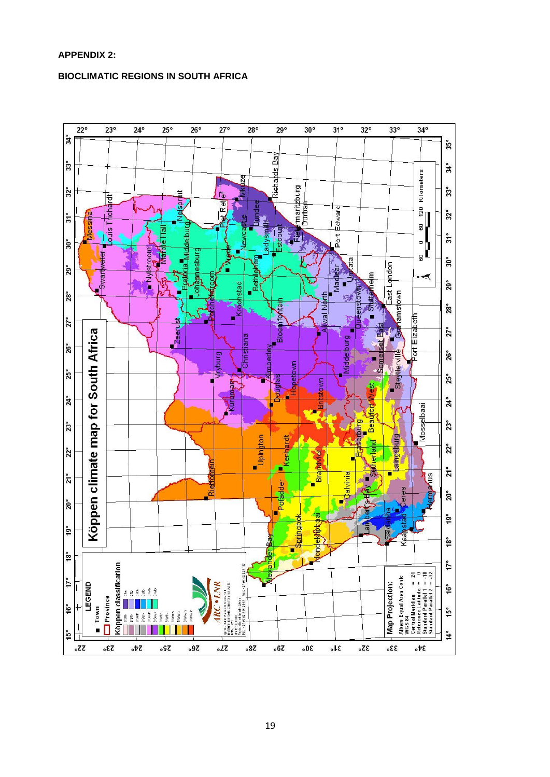# **APPENDIX 2:**

# **BIOCLIMATIC REGIONS IN SOUTH AFRICA**

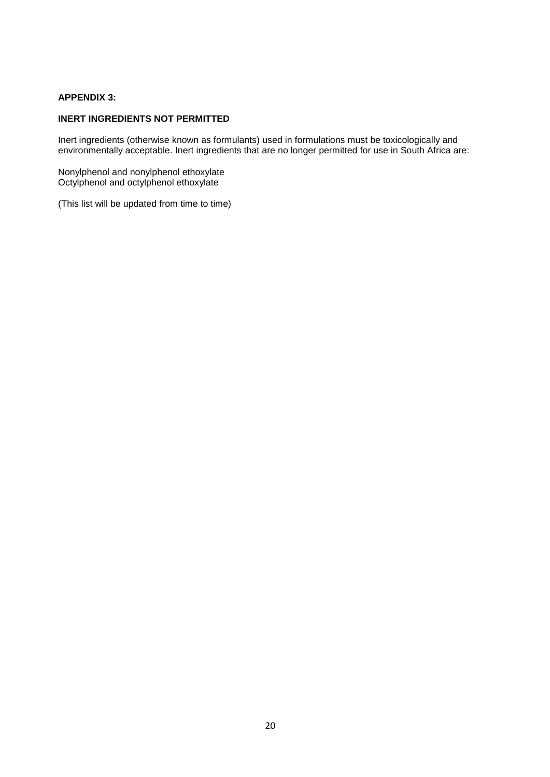# **APPENDIX 3:**

# **INERT INGREDIENTS NOT PERMITTED**

Inert ingredients (otherwise known as formulants) used in formulations must be toxicologically and environmentally acceptable. Inert ingredients that are no longer permitted for use in South Africa are:

Nonylphenol and nonylphenol ethoxylate Octylphenol and octylphenol ethoxylate

(This list will be updated from time to time)